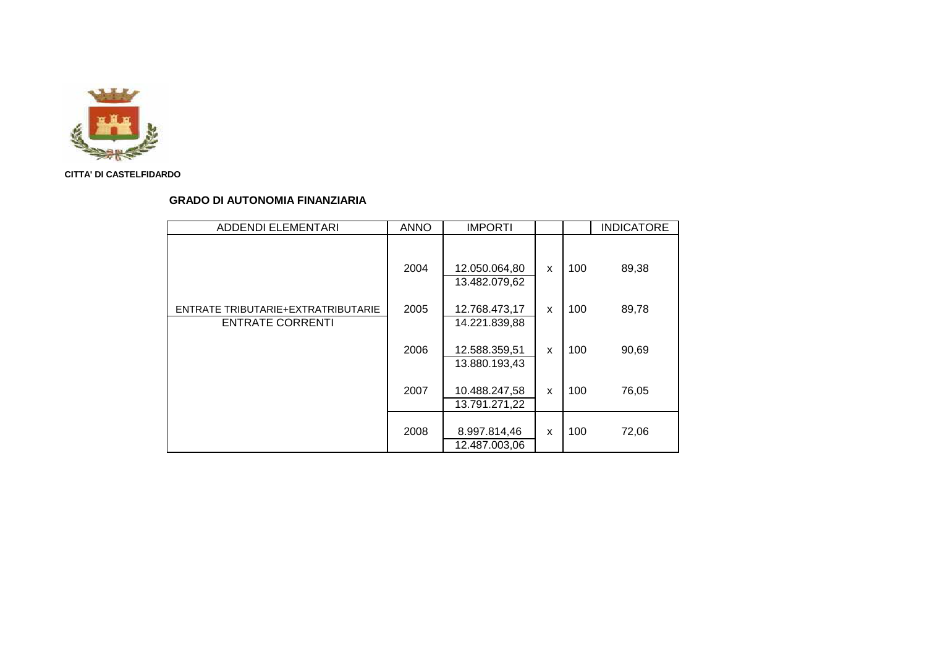

# **GRADO DI AUTONOMIA FINANZIARIA**

| <b>ADDENDI ELEMENTARI</b>                                     | <b>ANNO</b> | <b>IMPORTI</b>                 |   |     | <b>INDICATORE</b> |
|---------------------------------------------------------------|-------------|--------------------------------|---|-----|-------------------|
|                                                               | 2004        | 12.050.064,80<br>13.482.079,62 | X | 100 | 89,38             |
| ENTRATE TRIBUTARIE+EXTRATRIBUTARIE<br><b>ENTRATE CORRENTI</b> | 2005        | 12.768.473,17<br>14.221.839,88 | X | 100 | 89,78             |
|                                                               | 2006        | 12.588.359,51<br>13.880.193,43 | X | 100 | 90,69             |
|                                                               | 2007        | 10.488.247,58<br>13.791.271,22 | X | 100 | 76,05             |
|                                                               | 2008        | 8.997.814,46<br>12.487.003,06  | X | 100 | 72,06             |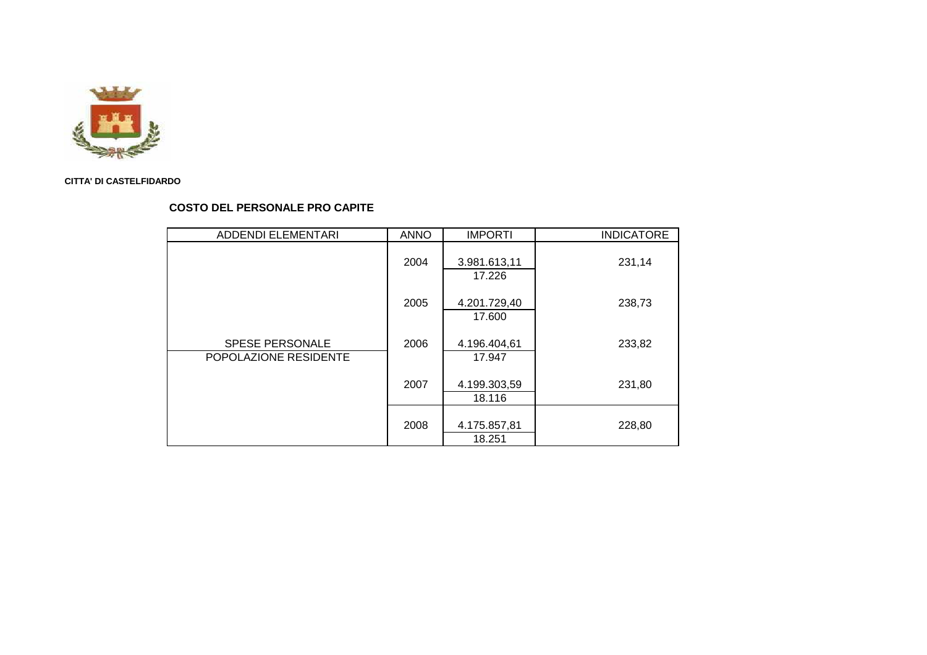

### **COSTO DEL PERSONALE PRO CAPITE**

| ADDENDI ELEMENTARI                              | <b>ANNO</b> | <b>IMPORTI</b>         | <b>INDICATORE</b> |
|-------------------------------------------------|-------------|------------------------|-------------------|
|                                                 | 2004        | 3.981.613,11<br>17.226 | 231,14            |
|                                                 | 2005        | 4.201.729,40<br>17.600 | 238,73            |
| <b>SPESE PERSONALE</b><br>POPOLAZIONE RESIDENTE | 2006        | 4.196.404,61<br>17.947 | 233,82            |
|                                                 | 2007        | 4.199.303,59<br>18.116 | 231,80            |
|                                                 | 2008        | 4.175.857,81<br>18.251 | 228,80            |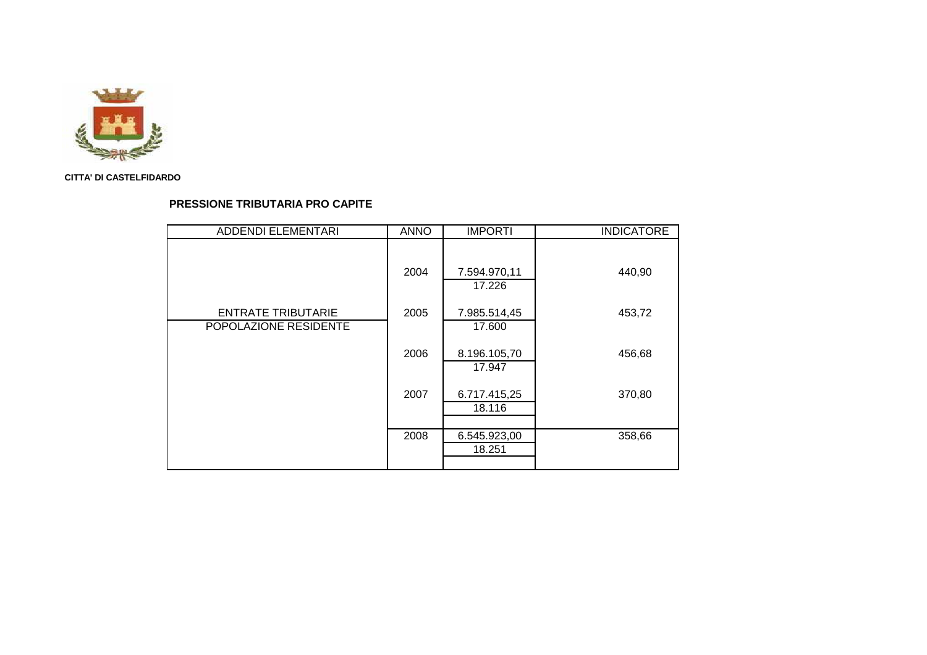

# **PRESSIONE TRIBUTARIA PRO CAPITE**

| <b>ADDENDI ELEMENTARI</b> | <b>ANNO</b> | <b>IMPORTI</b> | <b>INDICATORE</b> |
|---------------------------|-------------|----------------|-------------------|
|                           |             |                |                   |
|                           |             |                |                   |
|                           | 2004        | 7.594.970,11   | 440,90            |
|                           |             | 17.226         |                   |
| <b>ENTRATE TRIBUTARIE</b> | 2005        | 7.985.514,45   | 453,72            |
| POPOLAZIONE RESIDENTE     |             | 17.600         |                   |
|                           |             |                |                   |
|                           | 2006        | 8.196.105,70   | 456,68            |
|                           |             | 17.947         |                   |
|                           |             |                |                   |
|                           | 2007        | 6.717.415,25   | 370,80            |
|                           |             | 18.116         |                   |
|                           |             |                |                   |
|                           | 2008        | 6.545.923,00   | 358,66            |
|                           |             | 18.251         |                   |
|                           |             |                |                   |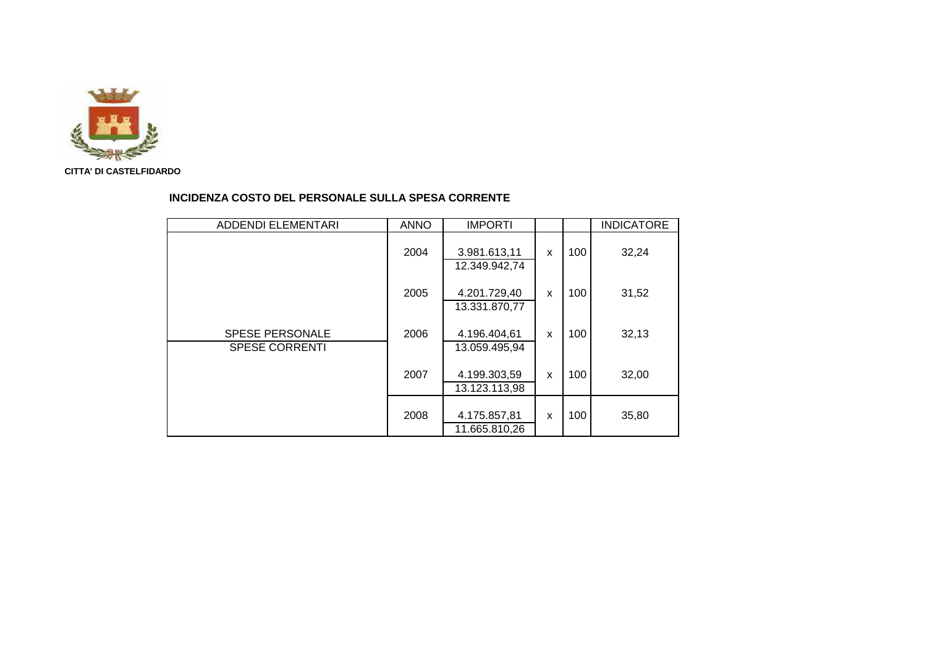

#### **INCIDENZA COSTO DEL PERSONALE SULLA SPESA CORRENTE**

| <b>ADDENDI ELEMENTARI</b>                       | <b>ANNO</b> | <b>IMPORTI</b>                |   |     | <b>INDICATORE</b> |
|-------------------------------------------------|-------------|-------------------------------|---|-----|-------------------|
|                                                 | 2004        | 3.981.613,11<br>12.349.942,74 | X | 100 | 32,24             |
|                                                 | 2005        | 4.201.729,40<br>13.331.870,77 | X | 100 | 31,52             |
| <b>SPESE PERSONALE</b><br><b>SPESE CORRENTI</b> | 2006        | 4.196.404,61<br>13.059.495,94 | X | 100 | 32,13             |
|                                                 | 2007        | 4.199.303,59<br>13.123.113,98 | X | 100 | 32,00             |
|                                                 | 2008        | 4.175.857,81<br>11.665.810,26 | X | 100 | 35,80             |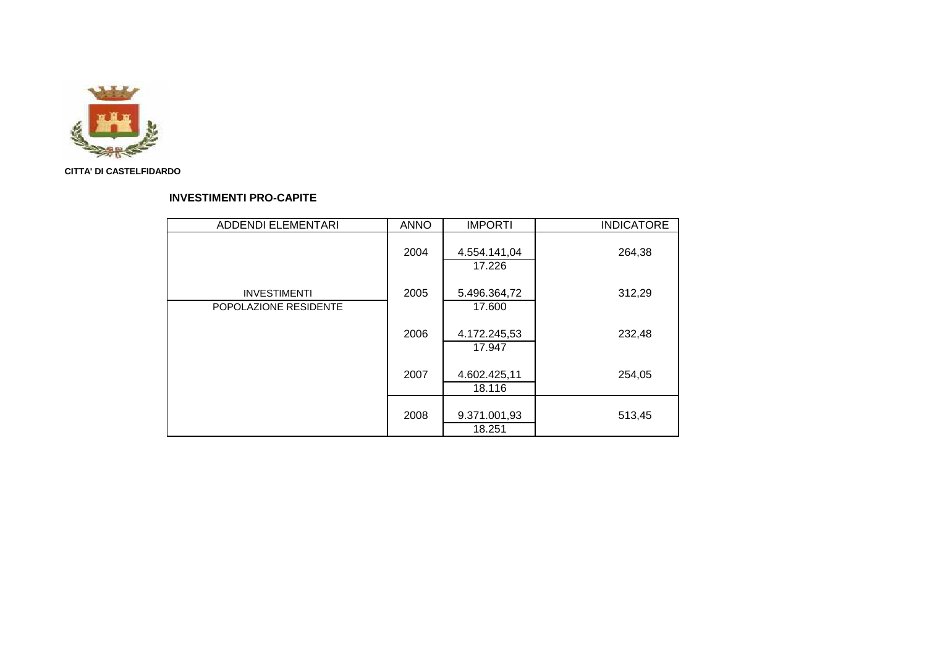

# **INVESTIMENTI PRO-CAPITE**

| <b>ADDENDI ELEMENTARI</b>                    | <b>ANNO</b> | <b>IMPORTI</b>         | <b>INDICATORE</b> |
|----------------------------------------------|-------------|------------------------|-------------------|
|                                              | 2004        | 4.554.141,04<br>17.226 | 264,38            |
| <b>INVESTIMENTI</b><br>POPOLAZIONE RESIDENTE | 2005        | 5.496.364,72<br>17.600 | 312,29            |
|                                              | 2006        | 4.172.245,53<br>17.947 | 232,48            |
|                                              | 2007        | 4.602.425,11<br>18.116 | 254,05            |
|                                              | 2008        | 9.371.001,93<br>18.251 | 513,45            |